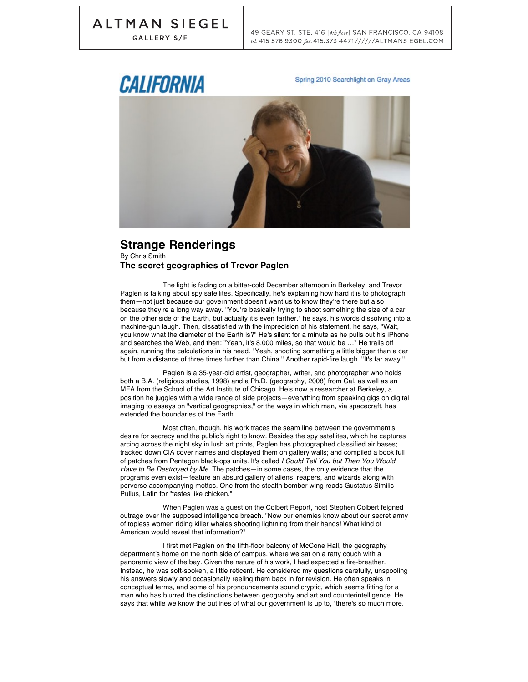GALLERY S/F

49 GEARY ST. STE. 416 [4th floor] SAN FRANCISCO. CA 94108 tel: 415.576.9300 fax: 415.373.4471 / / / / / / ALTMANSIEGEL.COM

# CALIFORNIA

Spring 2010 Searchlight on Gray Areas



#### **Strange Renderings** By Chris Smith **The secret geographies of Trevor Paglen**

The light is fading on a bitter-cold December afternoon in Berkeley, and Trevor Paglen is talking about spy satellites. Specifically, he's explaining how hard it is to photograph them—not just because our government doesn't want us to know they're there but also because they're a long way away. "You're basically trying to shoot something the size of a car on the other side of the Earth, but actually it's even farther," he says, his words dissolving into a machine-gun laugh. Then, dissatisfied with the imprecision of his statement, he says, "Wait, you know what the diameter of the Earth is?" He's silent for a minute as he pulls out his iPhone and searches the Web, and then: "Yeah, it's 8,000 miles, so that would be …" He trails off again, running the calculations in his head. "Yeah, shooting something a little bigger than a car but from a distance of three times further than China." Another rapid-fire laugh. "It's far away."

Paglen is a 35-year-old artist, geographer, writer, and photographer who holds both a B.A. (religious studies, 1998) and a Ph.D. (geography, 2008) from Cal, as well as an MFA from the School of the Art Institute of Chicago. He's now a researcher at Berkeley, a position he juggles with a wide range of side projects—everything from speaking gigs on digital imaging to essays on "vertical geographies," or the ways in which man, via spacecraft, has extended the boundaries of the Earth.

Most often, though, his work traces the seam line between the government's desire for secrecy and the public's right to know. Besides the spy satellites, which he captures arcing across the night sky in lush art prints, Paglen has photographed classified air bases; tracked down CIA cover names and displayed them on gallery walls; and compiled a book full of patches from Pentagon black-ops units. It's called *I Could Tell You but Then You Would Have to Be Destroyed by Me*. The patches—in some cases, the only evidence that the programs even exist—feature an absurd gallery of aliens, reapers, and wizards along with perverse accompanying mottos. One from the stealth bomber wing reads Gustatus Similis Pullus, Latin for "tastes like chicken."

When Paglen was a guest on the Colbert Report, host Stephen Colbert feigned outrage over the supposed intelligence breach. "Now our enemies know about our secret army of topless women riding killer whales shooting lightning from their hands! What kind of American would reveal that information?"

I first met Paglen on the fifth-floor balcony of McCone Hall, the geography department's home on the north side of campus, where we sat on a ratty couch with a panoramic view of the bay. Given the nature of his work, I had expected a fire-breather. Instead, he was soft-spoken, a little reticent. He considered my questions carefully, unspooling his answers slowly and occasionally reeling them back in for revision. He often speaks in conceptual terms, and some of his pronouncements sound cryptic, which seems fitting for a man who has blurred the distinctions between geography and art and counterintelligence. He says that while we know the outlines of what our government is up to, "there's so much more.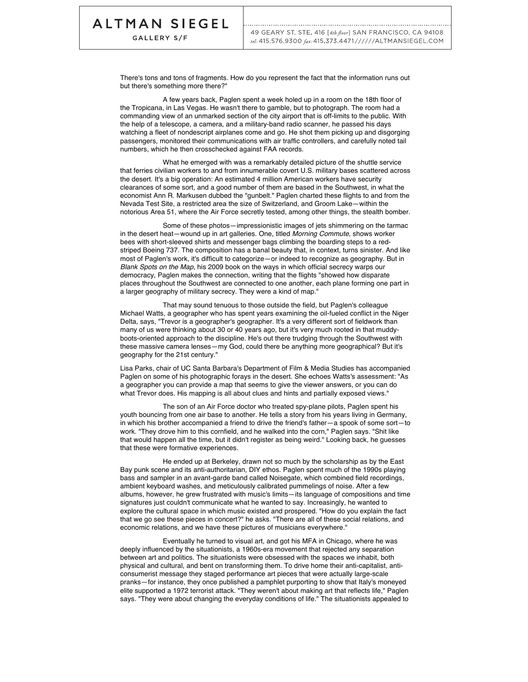GALLERY S/F

There's tons and tons of fragments. How do you represent the fact that the information runs out but there's something more there?"

A few years back, Paglen spent a week holed up in a room on the 18th floor of the Tropicana, in Las Vegas. He wasn't there to gamble, but to photograph. The room had a commanding view of an unmarked section of the city airport that is off-limits to the public. With the help of a telescope, a camera, and a military-band radio scanner, he passed his days watching a fleet of nondescript airplanes come and go. He shot them picking up and disgorging passengers, monitored their communications with air traffic controllers, and carefully noted tail numbers, which he then crosschecked against FAA records.

What he emerged with was a remarkably detailed picture of the shuttle service that ferries civilian workers to and from innumerable covert U.S. military bases scattered across the desert. It's a big operation: An estimated 4 million American workers have security clearances of some sort, and a good number of them are based in the Southwest, in what the economist Ann R. Markusen dubbed the "gunbelt." Paglen charted these flights to and from the Nevada Test Site, a restricted area the size of Switzerland, and Groom Lake—within the notorious Area 51, where the Air Force secretly tested, among other things, the stealth bomber.

Some of these photos—impressionistic images of jets shimmering on the tarmac in the desert heat—wound up in art galleries. One, titled *Morning Commute*, shows worker bees with short-sleeved shirts and messenger bags climbing the boarding steps to a redstriped Boeing 737. The composition has a banal beauty that, in context, turns sinister. And like most of Paglen's work, it's difficult to categorize—or indeed to recognize as geography. But in *Blank Spots on the Map*, his 2009 book on the ways in which official secrecy warps our democracy, Paglen makes the connection, writing that the flights "showed how disparate places throughout the Southwest are connected to one another, each plane forming one part in a larger geography of military secrecy. They were a kind of map."

That may sound tenuous to those outside the field, but Paglen's colleague Michael Watts, a geographer who has spent years examining the oil-fueled conflict in the Niger Delta, says, "Trevor is a geographer's geographer. It's a very different sort of fieldwork than many of us were thinking about 30 or 40 years ago, but it's very much rooted in that muddyboots-oriented approach to the discipline. He's out there trudging through the Southwest with these massive camera lenses—my God, could there be anything more geographical? But it's geography for the 21st century."

Lisa Parks, chair of UC Santa Barbara's Department of Film & Media Studies has accompanied Paglen on some of his photographic forays in the desert. She echoes Watts's assessment: "As a geographer you can provide a map that seems to give the viewer answers, or you can do what Trevor does. His mapping is all about clues and hints and partially exposed views."

The son of an Air Force doctor who treated spy-plane pilots, Paglen spent his youth bouncing from one air base to another. He tells a story from his years living in Germany, in which his brother accompanied a friend to drive the friend's father—a spook of some sort—to work. "They drove him to this cornfield, and he walked into the corn," Paglen says. "Shit like that would happen all the time, but it didn't register as being weird." Looking back, he guesses that these were formative experiences.

He ended up at Berkeley, drawn not so much by the scholarship as by the East Bay punk scene and its anti-authoritarian, DIY ethos. Paglen spent much of the 1990s playing bass and sampler in an avant-garde band called Noisegate, which combined field recordings, ambient keyboard washes, and meticulously calibrated pummelings of noise. After a few albums, however, he grew frustrated with music's limits—its language of compositions and time signatures just couldn't communicate what he wanted to say. Increasingly, he wanted to explore the cultural space in which music existed and prospered. "How do you explain the fact that we go see these pieces in concert?" he asks. "There are all of these social relations, and economic relations, and we have these pictures of musicians everywhere."

Eventually he turned to visual art, and got his MFA in Chicago, where he was deeply influenced by the situationists, a 1960s-era movement that rejected any separation between art and politics. The situationists were obsessed with the spaces we inhabit, both physical and cultural, and bent on transforming them. To drive home their anti-capitalist, anticonsumerist message they staged performance art pieces that were actually large-scale pranks—for instance, they once published a pamphlet purporting to show that Italy's moneyed elite supported a 1972 terrorist attack. "They weren't about making art that reflects life," Paglen says. "They were about changing the everyday conditions of life." The situationists appealed to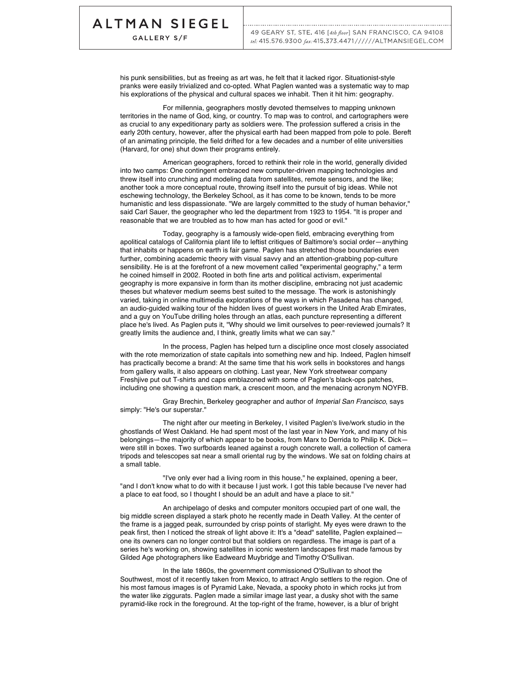GALLERY S/F

his punk sensibilities, but as freeing as art was, he felt that it lacked rigor. Situationist-style pranks were easily trivialized and co-opted. What Paglen wanted was a systematic way to map his explorations of the physical and cultural spaces we inhabit. Then it hit him: geography.

For millennia, geographers mostly devoted themselves to mapping unknown territories in the name of God, king, or country. To map was to control, and cartographers were as crucial to any expeditionary party as soldiers were. The profession suffered a crisis in the early 20th century, however, after the physical earth had been mapped from pole to pole. Bereft of an animating principle, the field drifted for a few decades and a number of elite universities (Harvard, for one) shut down their programs entirely.

American geographers, forced to rethink their role in the world, generally divided into two camps: One contingent embraced new computer-driven mapping technologies and threw itself into crunching and modeling data from satellites, remote sensors, and the like; another took a more conceptual route, throwing itself into the pursuit of big ideas. While not eschewing technology, the Berkeley School, as it has come to be known, tends to be more humanistic and less dispassionate. "We are largely committed to the study of human behavior," said Carl Sauer, the geographer who led the department from 1923 to 1954. "It is proper and reasonable that we are troubled as to how man has acted for good or evil."

Today, geography is a famously wide-open field, embracing everything from apolitical catalogs of California plant life to leftist critiques of Baltimore's social order—anything that inhabits or happens on earth is fair game. Paglen has stretched those boundaries even further, combining academic theory with visual savvy and an attention-grabbing pop-culture sensibility. He is at the forefront of a new movement called "experimental geography," a term he coined himself in 2002. Rooted in both fine arts and political activism, experimental geography is more expansive in form than its mother discipline, embracing not just academic theses but whatever medium seems best suited to the message. The work is astonishingly varied, taking in online multimedia explorations of the ways in which Pasadena has changed, an audio-guided walking tour of the hidden lives of guest workers in the United Arab Emirates, and a guy on YouTube drilling holes through an atlas, each puncture representing a different place he's lived. As Paglen puts it, "Why should we limit ourselves to peer-reviewed journals? It greatly limits the audience and, I think, greatly limits what we can say."

In the process, Paglen has helped turn a discipline once most closely associated with the rote memorization of state capitals into something new and hip. Indeed, Paglen himself has practically become a brand: At the same time that his work sells in bookstores and hangs from gallery walls, it also appears on clothing. Last year, New York streetwear company Freshjive put out T-shirts and caps emblazoned with some of Paglen's black-ops patches, including one showing a question mark, a crescent moon, and the menacing acronym NOYFB.

Gray Brechin, Berkeley geographer and author of *Imperial San Francisco*, says simply: "He's our superstar."

The night after our meeting in Berkeley, I visited Paglen's live/work studio in the ghostlands of West Oakland. He had spent most of the last year in New York, and many of his belongings—the majority of which appear to be books, from Marx to Derrida to Philip K. Dick were still in boxes. Two surfboards leaned against a rough concrete wall, a collection of camera tripods and telescopes sat near a small oriental rug by the windows. We sat on folding chairs at a small table.

"I've only ever had a living room in this house," he explained, opening a beer, "and I don't know what to do with it because I just work. I got this table because I've never had a place to eat food, so I thought I should be an adult and have a place to sit."

An archipelago of desks and computer monitors occupied part of one wall, the big middle screen displayed a stark photo he recently made in Death Valley. At the center of the frame is a jagged peak, surrounded by crisp points of starlight. My eyes were drawn to the peak first, then I noticed the streak of light above it: It's a "dead" satellite, Paglen explainedone its owners can no longer control but that soldiers on regardless. The image is part of a series he's working on, showing satellites in iconic western landscapes first made famous by Gilded Age photographers like Eadweard Muybridge and Timothy O'Sullivan.

In the late 1860s, the government commissioned O'Sullivan to shoot the Southwest, most of it recently taken from Mexico, to attract Anglo settlers to the region. One of his most famous images is of Pyramid Lake, Nevada, a spooky photo in which rocks jut from the water like ziggurats. Paglen made a similar image last year, a dusky shot with the same pyramid-like rock in the foreground. At the top-right of the frame, however, is a blur of bright